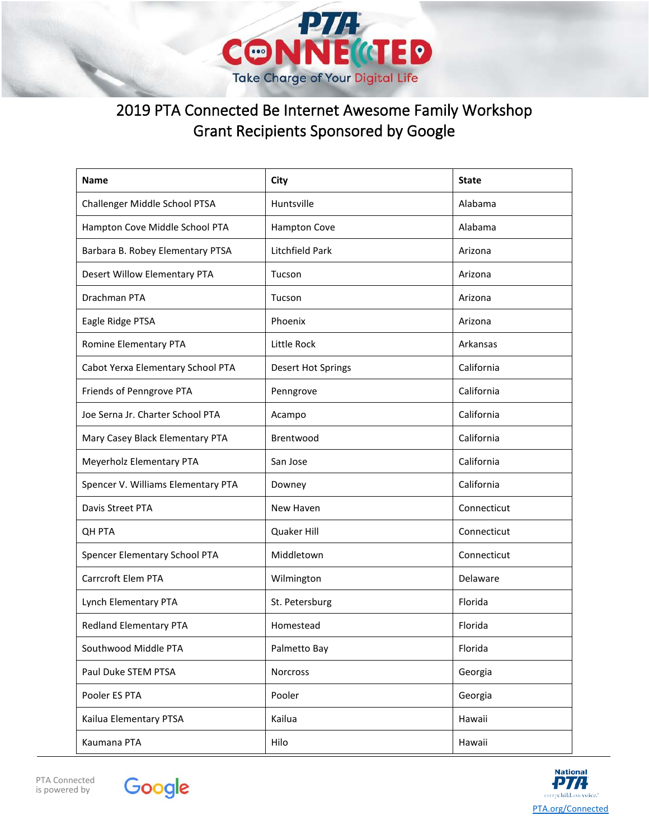

## 2019 PTA Connected Be Internet Awesome Family Workshop Grant Recipients Sponsored by Google

| <b>Name</b>                        | City                      | <b>State</b> |
|------------------------------------|---------------------------|--------------|
| Challenger Middle School PTSA      | Huntsville                | Alabama      |
| Hampton Cove Middle School PTA     | <b>Hampton Cove</b>       | Alabama      |
| Barbara B. Robey Elementary PTSA   | Litchfield Park           | Arizona      |
| Desert Willow Elementary PTA       | Tucson                    | Arizona      |
| Drachman PTA                       | Tucson                    | Arizona      |
| Eagle Ridge PTSA                   | Phoenix                   | Arizona      |
| Romine Elementary PTA              | Little Rock               | Arkansas     |
| Cabot Yerxa Elementary School PTA  | <b>Desert Hot Springs</b> | California   |
| Friends of Penngrove PTA           | Penngrove                 | California   |
| Joe Serna Jr. Charter School PTA   | Acampo                    | California   |
| Mary Casey Black Elementary PTA    | Brentwood                 | California   |
| Meyerholz Elementary PTA           | San Jose                  | California   |
| Spencer V. Williams Elementary PTA | Downey                    | California   |
| Davis Street PTA                   | New Haven                 | Connecticut  |
| <b>QH PTA</b>                      | Quaker Hill               | Connecticut  |
| Spencer Elementary School PTA      | Middletown                | Connecticut  |
| Carrcroft Elem PTA                 | Wilmington                | Delaware     |
| Lynch Elementary PTA               | St. Petersburg            | Florida      |
| Redland Elementary PTA             | Homestead                 | Florida      |
| Southwood Middle PTA               | Palmetto Bay              | Florida      |
| Paul Duke STEM PTSA                | Norcross                  | Georgia      |
| Pooler ES PTA                      | Pooler                    | Georgia      |
| Kailua Elementary PTSA             | Kailua                    | Hawaii       |
| Kaumana PTA                        | Hilo                      | Hawaii       |





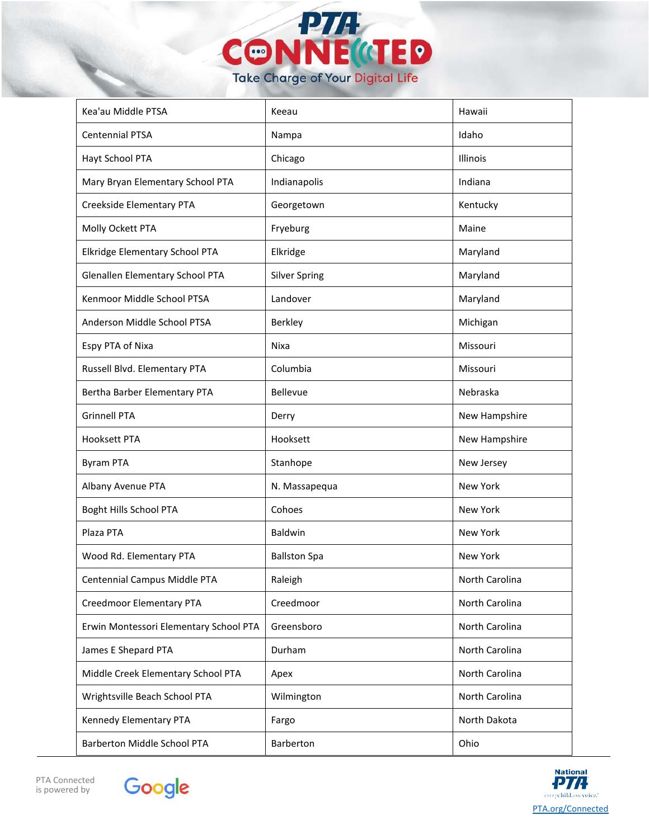

| Kea'au Middle PTSA                     | Keeau                | Hawaii         |
|----------------------------------------|----------------------|----------------|
| <b>Centennial PTSA</b>                 | Nampa                | Idaho          |
| Hayt School PTA                        | Chicago              | Illinois       |
| Mary Bryan Elementary School PTA       | Indianapolis         | Indiana        |
| Creekside Elementary PTA               | Georgetown           | Kentucky       |
| Molly Ockett PTA                       | Fryeburg             | Maine          |
| Elkridge Elementary School PTA         | Elkridge             | Maryland       |
| Glenallen Elementary School PTA        | <b>Silver Spring</b> | Maryland       |
| Kenmoor Middle School PTSA             | Landover             | Maryland       |
| Anderson Middle School PTSA            | Berkley              | Michigan       |
| Espy PTA of Nixa                       | Nixa                 | Missouri       |
| Russell Blvd. Elementary PTA           | Columbia             | Missouri       |
| Bertha Barber Elementary PTA           | Bellevue             | Nebraska       |
| <b>Grinnell PTA</b>                    | Derry                | New Hampshire  |
| <b>Hooksett PTA</b>                    | Hooksett             | New Hampshire  |
| <b>Byram PTA</b>                       | Stanhope             | New Jersey     |
| Albany Avenue PTA                      | N. Massapequa        | New York       |
| Boght Hills School PTA                 | Cohoes               | New York       |
| Plaza PTA                              | Baldwin              | New York       |
| Wood Rd. Elementary PTA                | <b>Ballston Spa</b>  | New York       |
| Centennial Campus Middle PTA           | Raleigh              | North Carolina |
| Creedmoor Elementary PTA               | Creedmoor            | North Carolina |
| Erwin Montessori Elementary School PTA | Greensboro           | North Carolina |
| James E Shepard PTA                    | Durham               | North Carolina |
| Middle Creek Elementary School PTA     | Apex                 | North Carolina |
| Wrightsville Beach School PTA          | Wilmington           | North Carolina |
| Kennedy Elementary PTA                 | Fargo                | North Dakota   |
| <b>Barberton Middle School PTA</b>     | Barberton            | Ohio           |





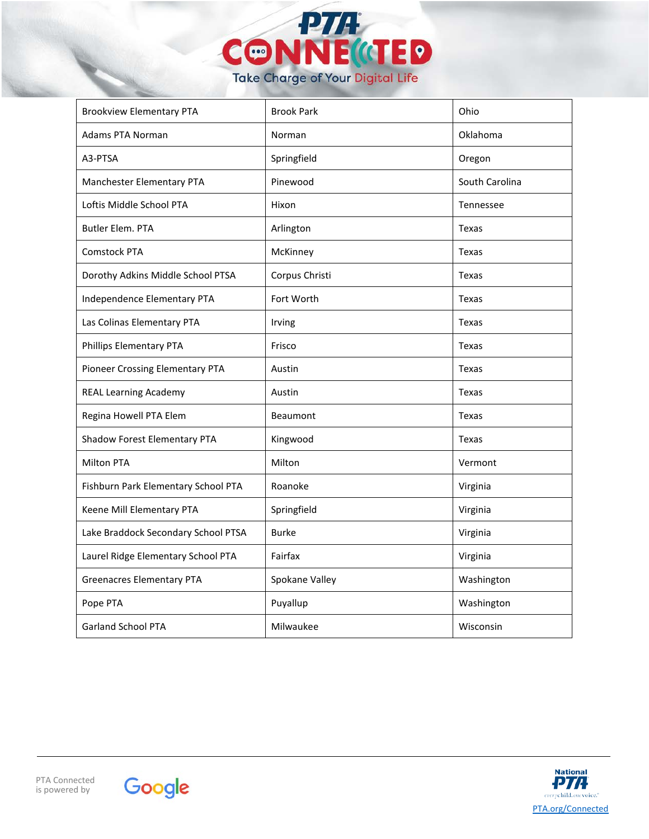

| <b>Brookview Elementary PTA</b>     | <b>Brook Park</b> | Ohio           |
|-------------------------------------|-------------------|----------------|
| <b>Adams PTA Norman</b>             | Norman            | Oklahoma       |
| A3-PTSA                             | Springfield       | Oregon         |
| Manchester Elementary PTA           | Pinewood          | South Carolina |
| Loftis Middle School PTA            | Hixon             | Tennessee      |
| <b>Butler Elem. PTA</b>             | Arlington         | <b>Texas</b>   |
| <b>Comstock PTA</b>                 | McKinney          | Texas          |
| Dorothy Adkins Middle School PTSA   | Corpus Christi    | Texas          |
| Independence Elementary PTA         | Fort Worth        | <b>Texas</b>   |
| Las Colinas Elementary PTA          | Irving            | Texas          |
| Phillips Elementary PTA             | Frisco            | Texas          |
| Pioneer Crossing Elementary PTA     | Austin            | Texas          |
| <b>REAL Learning Academy</b>        | Austin            | Texas          |
| Regina Howell PTA Elem              | Beaumont          | Texas          |
| Shadow Forest Elementary PTA        | Kingwood          | Texas          |
| <b>Milton PTA</b>                   | Milton            | Vermont        |
| Fishburn Park Elementary School PTA | Roanoke           | Virginia       |
| Keene Mill Elementary PTA           | Springfield       | Virginia       |
| Lake Braddock Secondary School PTSA | <b>Burke</b>      | Virginia       |
| Laurel Ridge Elementary School PTA  | Fairfax           | Virginia       |
| <b>Greenacres Elementary PTA</b>    | Spokane Valley    | Washington     |
| Pope PTA                            | Puyallup          | Washington     |
| <b>Garland School PTA</b>           | Milwaukee         | Wisconsin      |